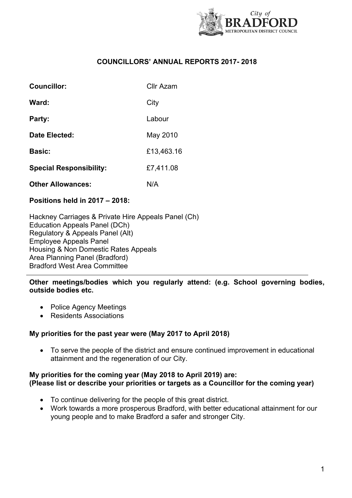

# **COUNCILLORS' ANNUAL REPORTS 2017- 2018**

| <b>Councillor:</b>             | Cllr Azam  |
|--------------------------------|------------|
| Ward:                          | City       |
| Party:                         | Labour     |
| Date Elected:                  | May 2010   |
| <b>Basic:</b>                  | £13,463.16 |
| <b>Special Responsibility:</b> | £7,411.08  |
| <b>Other Allowances:</b>       | N/A        |

# **Positions held in 2017 – 2018:**

Hackney Carriages & Private Hire Appeals Panel (Ch) Education Appeals Panel (DCh) Regulatory & Appeals Panel (Alt) Employee Appeals Panel Housing & Non Domestic Rates Appeals Area Planning Panel (Bradford) Bradford West Area Committee

**Other meetings/bodies which you regularly attend: (e.g. School governing bodies, outside bodies etc.**

- Police Agency Meetings
- Residents Associations

# **My priorities for the past year were (May 2017 to April 2018)**

 To serve the people of the district and ensure continued improvement in educational attainment and the regeneration of our City.

#### **My priorities for the coming year (May 2018 to April 2019) are: (Please list or describe your priorities or targets as a Councillor for the coming year)**

- To continue delivering for the people of this great district.
- Work towards a more prosperous Bradford, with better educational attainment for our young people and to make Bradford a safer and stronger City.